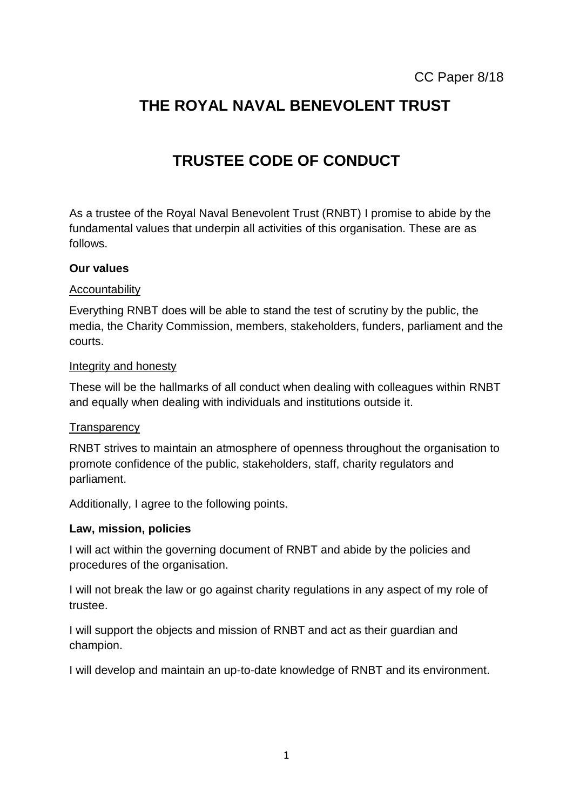## **THE ROYAL NAVAL BENEVOLENT TRUST**

# **TRUSTEE CODE OF CONDUCT**

As a trustee of the Royal Naval Benevolent Trust (RNBT) I promise to abide by the fundamental values that underpin all activities of this organisation. These are as follows.

#### **Our values**

#### Accountability

Everything RNBT does will be able to stand the test of scrutiny by the public, the media, the Charity Commission, members, stakeholders, funders, parliament and the courts.

#### Integrity and honesty

These will be the hallmarks of all conduct when dealing with colleagues within RNBT and equally when dealing with individuals and institutions outside it.

#### **Transparency**

RNBT strives to maintain an atmosphere of openness throughout the organisation to promote confidence of the public, stakeholders, staff, charity regulators and parliament.

Additionally, I agree to the following points.

## **Law, mission, policies**

I will act within the governing document of RNBT and abide by the policies and procedures of the organisation.

I will not break the law or go against charity regulations in any aspect of my role of trustee.

I will support the objects and mission of RNBT and act as their guardian and champion.

I will develop and maintain an up-to-date knowledge of RNBT and its environment.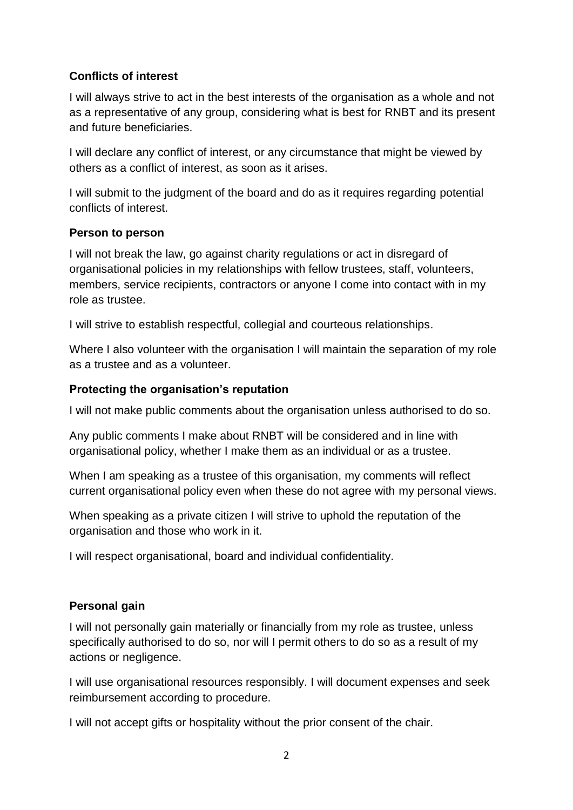## **Conflicts of interest**

I will always strive to act in the best interests of the organisation as a whole and not as a representative of any group, considering what is best for RNBT and its present and future beneficiaries.

I will declare any conflict of interest, or any circumstance that might be viewed by others as a conflict of interest, as soon as it arises.

I will submit to the judgment of the board and do as it requires regarding potential conflicts of interest.

#### **Person to person**

I will not break the law, go against charity regulations or act in disregard of organisational policies in my relationships with fellow trustees, staff, volunteers, members, service recipients, contractors or anyone I come into contact with in my role as trustee.

I will strive to establish respectful, collegial and courteous relationships.

Where I also volunteer with the organisation I will maintain the separation of my role as a trustee and as a volunteer.

## **Protecting the organisation's reputation**

I will not make public comments about the organisation unless authorised to do so.

Any public comments I make about RNBT will be considered and in line with organisational policy, whether I make them as an individual or as a trustee.

When I am speaking as a trustee of this organisation, my comments will reflect current organisational policy even when these do not agree with my personal views.

When speaking as a private citizen I will strive to uphold the reputation of the organisation and those who work in it.

I will respect organisational, board and individual confidentiality.

## **Personal gain**

I will not personally gain materially or financially from my role as trustee, unless specifically authorised to do so, nor will I permit others to do so as a result of my actions or negligence.

I will use organisational resources responsibly. I will document expenses and seek reimbursement according to procedure.

I will not accept gifts or hospitality without the prior consent of the chair.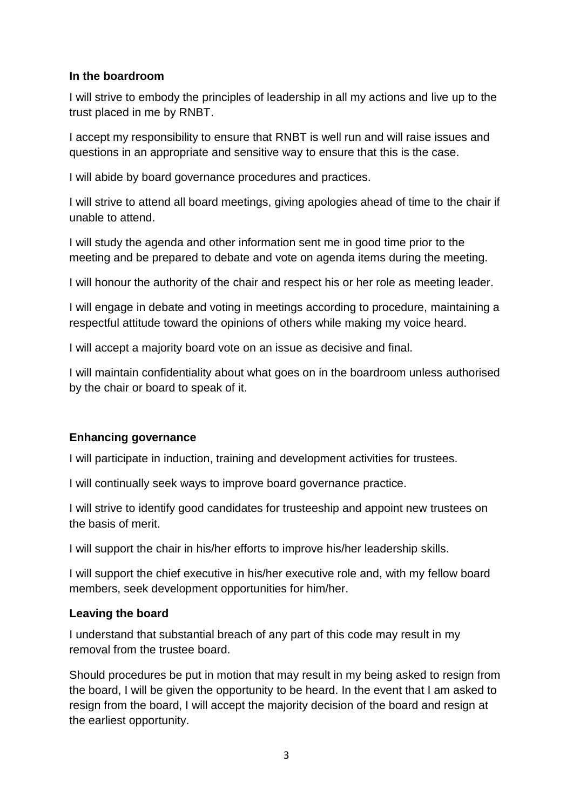#### **In the boardroom**

I will strive to embody the principles of leadership in all my actions and live up to the trust placed in me by RNBT.

I accept my responsibility to ensure that RNBT is well run and will raise issues and questions in an appropriate and sensitive way to ensure that this is the case.

I will abide by board governance procedures and practices.

I will strive to attend all board meetings, giving apologies ahead of time to the chair if unable to attend.

I will study the agenda and other information sent me in good time prior to the meeting and be prepared to debate and vote on agenda items during the meeting.

I will honour the authority of the chair and respect his or her role as meeting leader.

I will engage in debate and voting in meetings according to procedure, maintaining a respectful attitude toward the opinions of others while making my voice heard.

I will accept a majority board vote on an issue as decisive and final.

I will maintain confidentiality about what goes on in the boardroom unless authorised by the chair or board to speak of it.

## **Enhancing governance**

I will participate in induction, training and development activities for trustees.

I will continually seek ways to improve board governance practice.

I will strive to identify good candidates for trusteeship and appoint new trustees on the basis of merit.

I will support the chair in his/her efforts to improve his/her leadership skills.

I will support the chief executive in his/her executive role and, with my fellow board members, seek development opportunities for him/her.

## **Leaving the board**

I understand that substantial breach of any part of this code may result in my removal from the trustee board.

Should procedures be put in motion that may result in my being asked to resign from the board, I will be given the opportunity to be heard. In the event that I am asked to resign from the board, I will accept the majority decision of the board and resign at the earliest opportunity.